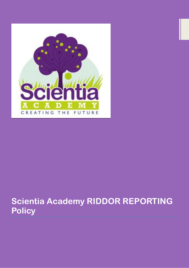

# **Scientia Academy RIDDOR REPORTING Policy**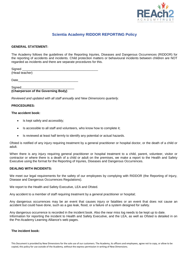

# **Scientia Academy RIDDOR REPORTING Policy**

# **GENERAL STATEMENT:**

The Academy follows the guidelines of the Reporting Injuries, Diseases and Dangerous Occurrences (RIDDOR) for the reporting of accidents and incidents. Child protection matters or behavioural incidents between children are NOT regarded as incidents and there are separate procedures for this.

Signed \_\_\_\_\_\_\_\_\_\_\_\_\_\_\_\_\_\_\_\_\_\_\_\_\_\_\_\_\_\_\_\_\_\_\_\_\_\_\_\_\_\_\_ (Head teacher)

Date\_\_\_\_\_\_\_\_\_\_\_\_\_\_\_\_\_\_\_\_\_\_\_\_\_\_\_\_\_\_\_\_\_\_

#### Signed **(Chairperson of the Governing Body)**

*Reviewed and updated with all staff annually and New Dimensions quarterly.*

# **PROCEDURES:**

### **The accident book:**

- Is kept safely and accessibly;
- Is accessible to all staff and volunteers, who know how to complete it;
- Is reviewed at least half termly to identify any potential or actual hazards.

Ofsted is notified of any injury requiring treatment by a general practitioner or hospital doctor, or the death of a child or adult.

When there is any injury requiring general practitioner or hospital treatment to a child, parent, volunteer, visitor or contractor or where there is a death of a child or adult on the premises, we make a report to the Health and Safety Executive using the format for the Reporting of Injuries, Diseases and Dangerous Occurrences.

#### **DEALING WITH INCIDENTS:**

We meet our legal requirements for the safety of our employees by complying with RIDDOR (the Reporting of Injury, Disease and Dangerous Occurrences Regulations).

We report to the Health and Safety Executive, LEA and Ofsted.

Any accident to a member of staff requiring treatment by a general practitioner or hospital;

Any dangerous occurrences may be an event that causes injury or fatalities or an event that does not cause an accident but could have done, such as a gas leak, flood, or a failure of a system designed for safety.

Any dangerous occurrence is recorded in the incident book. Also the near miss log needs to be kept up to date. Information for reporting the incident to Health and Safety Executive, and the LEA, as well as Ofsted is detailed in on the Pre-Academy Learning Alliance's web pages.

#### **The incident book:**

This Document is provided by New Dimensions for the sole use of our customers. The Academy, its officers and employees, agree not to copy, or allow to be copied, this policy for use outside of the Academy, without the express permission in writing of New Dimensions.